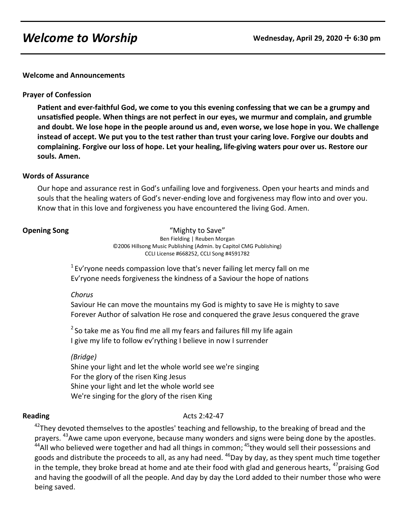# **Welcome to Worship Wednesday, April 29, 2020**  $\pm$  **6:30 pm**

**Welcome and Announcements**

### **Prayer of Confession**

**Patient and ever-faithful God, we come to you this evening confessing that we can be a grumpy and unsatisfied people. When things are not perfect in our eyes, we murmur and complain, and grumble and doubt. We lose hope in the people around us and, even worse, we lose hope in you. We challenge instead of accept. We put you to the test rather than trust your caring love. Forgive our doubts and complaining. Forgive our loss of hope. Let your healing, life-giving waters pour over us. Restore our souls. Amen.** 

#### **Words of Assurance**

Our hope and assurance rest in God's unfailing love and forgiveness. Open your hearts and minds and souls that the healing waters of God's never-ending love and forgiveness may flow into and over you. Know that in this love and forgiveness you have encountered the living God. Amen.

**Opening Song** The Contract of Texas and Mighty to Save" Ben Fielding | Reuben Morgan ©2006 Hillsong Music Publishing (Admin. by Capitol CMG Publishing) CCLI License #668252, CCLI Song #4591782

> $1$  Ev'ryone needs compassion love that's never failing let mercy fall on me Ev'ryone needs forgiveness the kindness of a Saviour the hope of nations

#### *Chorus*

Saviour He can move the mountains my God is mighty to save He is mighty to save Forever Author of salvation He rose and conquered the grave Jesus conquered the grave

 $2$  So take me as You find me all my fears and failures fill my life again I give my life to follow ev'rything I believe in now I surrender

# *(Bridge)*

Shine your light and let the whole world see we're singing For the glory of the risen King Jesus Shine your light and let the whole world see We're singing for the glory of the risen King

# **Reading** Acts 2:42-47

<sup>42</sup>They devoted themselves to the apostles' teaching and fellowship, to the breaking of bread and the prayers. <sup>43</sup>Awe came upon everyone, because many wonders and signs were being done by the apostles.  $44$ All who believed were together and had all things in common;  $45$ they would sell their possessions and goods and distribute the proceeds to all, as any had need. <sup>46</sup>Day by day, as they spent much time together in the temple, they broke bread at home and ate their food with glad and generous hearts, <sup>47</sup>praising God and having the goodwill of all the people. And day by day the Lord added to their number those who were being saved.